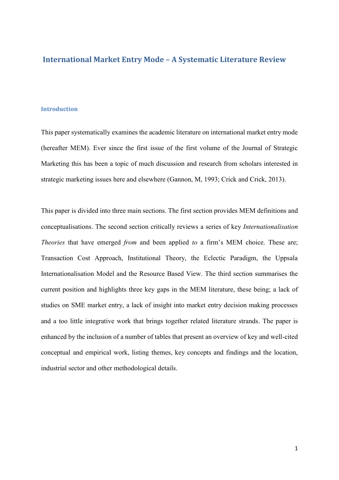# **International Market Entry Mode – A Systematic Literature Review**

## **Introduction**

This paper systematically examines the academic literature on international market entry mode (hereafter MEM). Ever since the first issue of the first volume of the Journal of Strategic Marketing this has been a topic of much discussion and research from scholars interested in strategic marketing issues here and elsewhere (Gannon, M, 1993; Crick and Crick, 2013).

This paper is divided into three main sections. The first section provides MEM definitions and conceptualisations. The second section critically reviews a series of key *Internationalisation Theories* that have emerged *from* and been applied *to* a firm's MEM choice. These are; Transaction Cost Approach, Institutional Theory, the Eclectic Paradigm, the Uppsala Internationalisation Model and the Resource Based View. The third section summarises the current position and highlights three key gaps in the MEM literature, these being; a lack of studies on SME market entry, a lack of insight into market entry decision making processes and a too little integrative work that brings together related literature strands. The paper is enhanced by the inclusion of a number of tables that present an overview of key and well-cited conceptual and empirical work, listing themes, key concepts and findings and the location, industrial sector and other methodological details.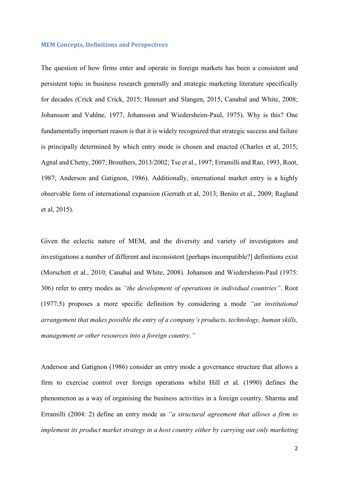#### **MEM Concepts, Definitions and Perspectives**

The question of how firms enter and operate in foreign markets has been a consistent and persistent topic in business research generally and strategic marketing literature specifically for decades (Crick and Crick, 2015; Hennart and Slangen, 2015, Canabal and White, 2008; Johansson and Vahlne, 1977, Johansson and Wiedersheim-Paul, 1975). Why is this? One fundamentally important reason is that it is widely recognized that strategic success and failure is principally determined by which entry mode is chosen and enacted (Charles et al, 2015; Agnal and Chetty, 2007; Brouthers, 2013/2002; Tse et al., 1997; Erramilli and Rao, 1993, Root, 1987; Anderson and Gatignon, 1986). Additionally, international market entry is a highly observable form of international expansion (Gerrath et al, 2013; Benito et al., 2009; Ragland et al, 2015).

Given the eclectic nature of MEM, and the diversity and variety of investigators and investigations a number of different and inconsistent [perhaps incompatible?] definitions exist (Morschett et al., 2010; Canabal and White, 2008). Johanson and Wiedersheim-Paul (1975: 306) refer to entry modes as *"the development of operations in individual countries"*. Root (1977:5) proposes a more specific definition by considering a mode *"an institutional arrangement that makes possible the entry of a company's products, technology, human skills, management or other resources into a foreign country."*

Anderson and Gatignon (1986) consider an entry mode a governance structure that allows a firm to exercise control over foreign operations whilst Hill et al. (1990) defines the phenomenon as a way of organising the business activities in a foreign country. Sharma and Erramilli (2004: 2) define an entry mode as *"a structural agreement that allows a firm to implement its product market strategy in a host country either by carrying out only marketing*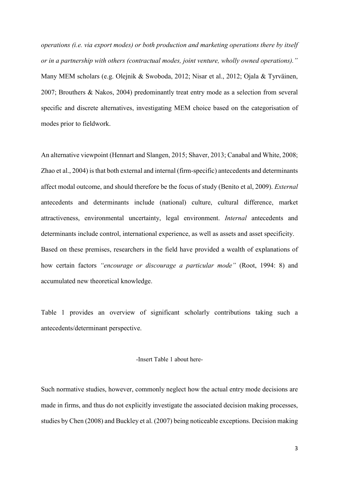*operations (i.e. via export modes) or both production and marketing operations there by itself or in a partnership with others (contractual modes, joint venture, wholly owned operations)."* Many MEM scholars (e.g. Olejnik & Swoboda, 2012; Nisar et al., 2012; Ojala & Tyrväinen, 2007; Brouthers & Nakos, 2004) predominantly treat entry mode as a selection from several specific and discrete alternatives, investigating MEM choice based on the categorisation of modes prior to fieldwork.

An alternative viewpoint (Hennart and Slangen, 2015; Shaver, 2013; Canabal and White, 2008; Zhao et al., 2004) is that both external and internal (firm-specific) antecedents and determinants affect modal outcome, and should therefore be the focus of study (Benito et al, 2009). *External* antecedents and determinants include (national) culture, cultural difference, market attractiveness, environmental uncertainty, legal environment. *Internal* antecedents and determinants include control, international experience, as well as assets and asset specificity. Based on these premises, researchers in the field have provided a wealth of explanations of how certain factors *"encourage or discourage a particular mode"* (Root, 1994: 8) and accumulated new theoretical knowledge.

Table 1 provides an overview of significant scholarly contributions taking such a antecedents/determinant perspective.

# -Insert Table 1 about here-

Such normative studies, however, commonly neglect how the actual entry mode decisions are made in firms, and thus do not explicitly investigate the associated decision making processes, studies by Chen (2008) and Buckley et al. (2007) being noticeable exceptions. Decision making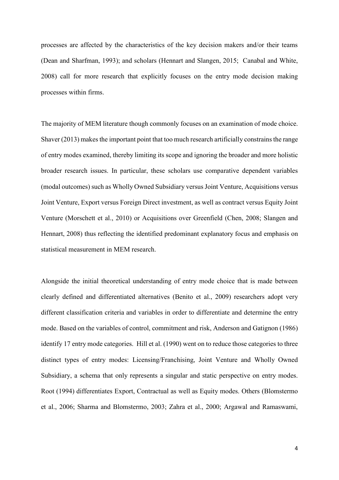processes are affected by the characteristics of the key decision makers and/or their teams (Dean and Sharfman, 1993); and scholars (Hennart and Slangen, 2015; Canabal and White, 2008) call for more research that explicitly focuses on the entry mode decision making processes within firms.

The majority of MEM literature though commonly focuses on an examination of mode choice. Shaver (2013) makes the important point that too much research artificially constrains the range of entry modes examined, thereby limiting its scope and ignoring the broader and more holistic broader research issues. In particular, these scholars use comparative dependent variables (modal outcomes) such as Wholly Owned Subsidiary versus Joint Venture, Acquisitions versus Joint Venture, Export versus Foreign Direct investment, as well as contract versus Equity Joint Venture (Morschett et al., 2010) or Acquisitions over Greenfield (Chen, 2008; Slangen and Hennart, 2008) thus reflecting the identified predominant explanatory focus and emphasis on statistical measurement in MEM research.

Alongside the initial theoretical understanding of entry mode choice that is made between clearly defined and differentiated alternatives (Benito et al., 2009) researchers adopt very different classification criteria and variables in order to differentiate and determine the entry mode. Based on the variables of control, commitment and risk, Anderson and Gatignon (1986) identify 17 entry mode categories. Hill et al. (1990) went on to reduce those categories to three distinct types of entry modes: Licensing/Franchising, Joint Venture and Wholly Owned Subsidiary, a schema that only represents a singular and static perspective on entry modes. Root (1994) differentiates Export, Contractual as well as Equity modes. Others (Blomstermo et al., 2006; Sharma and Blomstermo, 2003; Zahra et al., 2000; Argawal and Ramaswami,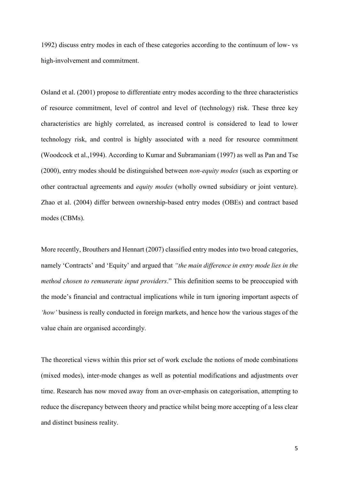1992) discuss entry modes in each of these categories according to the continuum of low- vs high-involvement and commitment.

Osland et al. (2001) propose to differentiate entry modes according to the three characteristics of resource commitment, level of control and level of (technology) risk. These three key characteristics are highly correlated, as increased control is considered to lead to lower technology risk, and control is highly associated with a need for resource commitment (Woodcock et al.,1994). According to Kumar and Subramaniam (1997) as well as Pan and Tse (2000), entry modes should be distinguished between *non-equity modes* (such as exporting or other contractual agreements and *equity modes* (wholly owned subsidiary or joint venture). Zhao et al. (2004) differ between ownership-based entry modes (OBEs) and contract based modes (CBMs).

More recently, Brouthers and Hennart (2007) classified entry modes into two broad categories, namely 'Contracts' and 'Equity' and argued that *"the main difference in entry mode lies in the method chosen to remunerate input providers*." This definition seems to be preoccupied with the mode's financial and contractual implications while in turn ignoring important aspects of *'how'* business is really conducted in foreign markets, and hence how the various stages of the value chain are organised accordingly.

The theoretical views within this prior set of work exclude the notions of mode combinations (mixed modes), inter-mode changes as well as potential modifications and adjustments over time. Research has now moved away from an over-emphasis on categorisation, attempting to reduce the discrepancy between theory and practice whilst being more accepting of a less clear and distinct business reality.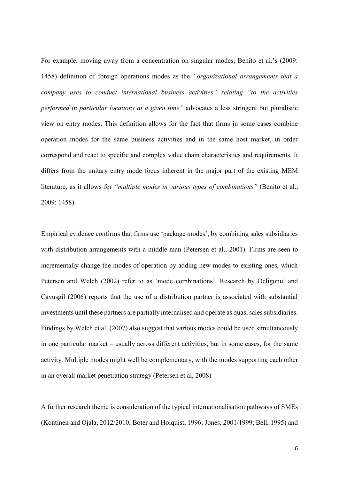For example, moving away from a concentration on singular modes, Benito et al.'s (2009: 1458) definition of foreign operations modes as the *"organizational arrangements that a company uses to conduct international business activities" relating "to the activities performed in particular locations at a given time"* advocates a less stringent but pluralistic view on entry modes. This definition allows for the fact that firms in some cases combine operation modes for the same business activities and in the same host market, in order correspond and react to specific and complex value chain characteristics and requirements. It differs from the unitary entry mode focus inherent in the major part of the existing MEM literature, as it allows for *"multiple modes in various types of combinations"* (Benito et al., 2009: 1458).

Empirical evidence confirms that firms use 'package modes', by combining sales subsidiaries with distribution arrangements with a middle man (Petersen et al., 2001). Firms are seen to incrementally change the modes of operation by adding new modes to existing ones, which Petersen and Welch (2002) refer to as 'mode combinations'. Research by Deligonul and Cavusgil (2006) reports that the use of a distribution partner is associated with substantial investments until these partners are partially internalised and operate as quasi sales subsidiaries. Findings by Welch et al. (2007) also suggest that various modes could be used simultaneously in one particular market – usually across different activities, but in some cases, for the same activity. Multiple modes might well be complementary, with the modes supporting each other in an overall market penetration strategy (Petersen et al, 2008)

A further research theme is consideration of the typical internationalisation pathways of SMEs (Kontinen and Ojala, 2012/2010; Boter and Holquist, 1996; Jones, 2001/1999; Bell, 1995) and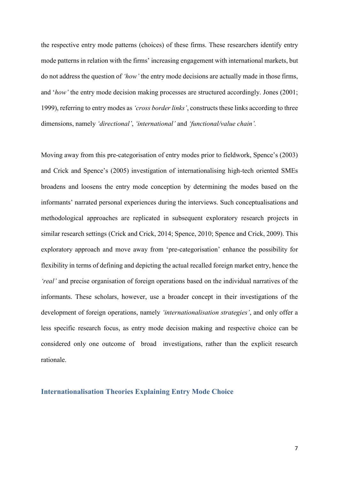the respective entry mode patterns (choices) of these firms. These researchers identify entry mode patterns in relation with the firms' increasing engagement with international markets, but do not address the question of *'how'* the entry mode decisions are actually made in those firms, and '*how'* the entry mode decision making processes are structured accordingly. Jones (2001; 1999), referring to entry modes as *'cross border links'*, constructs these links according to three dimensions, namely *'directional'*, *'international'* and *'functional/value chain'.*

Moving away from this pre-categorisation of entry modes prior to fieldwork, Spence's (2003) and Crick and Spence's (2005) investigation of internationalising high-tech oriented SMEs broadens and loosens the entry mode conception by determining the modes based on the informants' narrated personal experiences during the interviews. Such conceptualisations and methodological approaches are replicated in subsequent exploratory research projects in similar research settings (Crick and Crick, 2014; Spence, 2010; Spence and Crick, 2009). This exploratory approach and move away from 'pre-categorisation' enhance the possibility for flexibility in terms of defining and depicting the actual recalled foreign market entry, hence the *'real'* and precise organisation of foreign operations based on the individual narratives of the informants. These scholars, however, use a broader concept in their investigations of the development of foreign operations, namely *'internationalisation strategies'*, and only offer a less specific research focus, as entry mode decision making and respective choice can be considered only one outcome of broad investigations, rather than the explicit research rationale.

# **Internationalisation Theories Explaining Entry Mode Choice**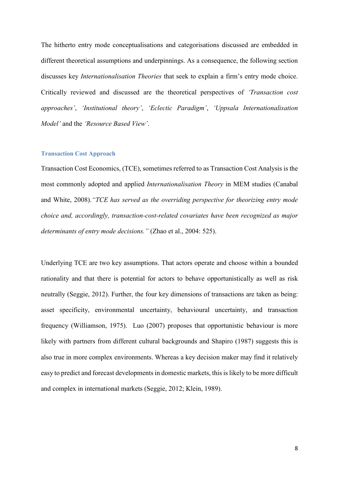The hitherto entry mode conceptualisations and categorisations discussed are embedded in different theoretical assumptions and underpinnings. As a consequence, the following section discusses key *Internationalisation Theories* that seek to explain a firm's entry mode choice. Critically reviewed and discussed are the theoretical perspectives of *'Transaction cost approaches'*, *'Institutional theory'*, *'Eclectic Paradigm'*, *'Uppsala Internationalisation Model'* and the *'Resource Based View'*.

### **Transaction Cost Approach**

Transaction Cost Economics, (TCE), sometimes referred to as Transaction Cost Analysis is the most commonly adopted and applied *Internationalisation Theory* in MEM studies (Canabal and White, 2008).*"TCE has served as the overriding perspective for theorizing entry mode choice and, accordingly, transaction-cost-related covariates have been recognized as major determinants of entry mode decisions."* (Zhao et al., 2004: 525).

Underlying TCE are two key assumptions. That actors operate and choose within a bounded rationality and that there is potential for actors to behave opportunistically as well as risk neutrally (Seggie, 2012). Further, the four key dimensions of transactions are taken as being: asset specificity, environmental uncertainty, behavioural uncertainty, and transaction frequency (Williamson, 1975). Luo (2007) proposes that opportunistic behaviour is more likely with partners from different cultural backgrounds and Shapiro (1987) suggests this is also true in more complex environments. Whereas a key decision maker may find it relatively easy to predict and forecast developments in domestic markets, this is likely to be more difficult and complex in international markets (Seggie, 2012; Klein, 1989).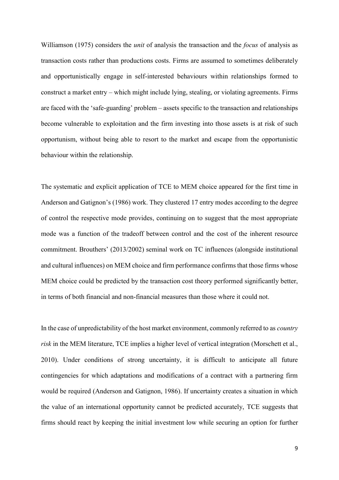Williamson (1975) considers the *unit* of analysis the transaction and the *focus* of analysis as transaction costs rather than productions costs. Firms are assumed to sometimes deliberately and opportunistically engage in self-interested behaviours within relationships formed to construct a market entry – which might include lying, stealing, or violating agreements. Firms are faced with the 'safe-guarding' problem – assets specific to the transaction and relationships become vulnerable to exploitation and the firm investing into those assets is at risk of such opportunism, without being able to resort to the market and escape from the opportunistic behaviour within the relationship.

The systematic and explicit application of TCE to MEM choice appeared for the first time in Anderson and Gatignon's (1986) work. They clustered 17 entry modes according to the degree of control the respective mode provides, continuing on to suggest that the most appropriate mode was a function of the tradeoff between control and the cost of the inherent resource commitment. Brouthers' (2013/2002) seminal work on TC influences (alongside institutional and cultural influences) on MEM choice and firm performance confirms that those firms whose MEM choice could be predicted by the transaction cost theory performed significantly better, in terms of both financial and non-financial measures than those where it could not.

In the case of unpredictability of the host market environment, commonly referred to as *country risk* in the MEM literature, TCE implies a higher level of vertical integration (Morschett et al., 2010). Under conditions of strong uncertainty, it is difficult to anticipate all future contingencies for which adaptations and modifications of a contract with a partnering firm would be required (Anderson and Gatignon, 1986). If uncertainty creates a situation in which the value of an international opportunity cannot be predicted accurately, TCE suggests that firms should react by keeping the initial investment low while securing an option for further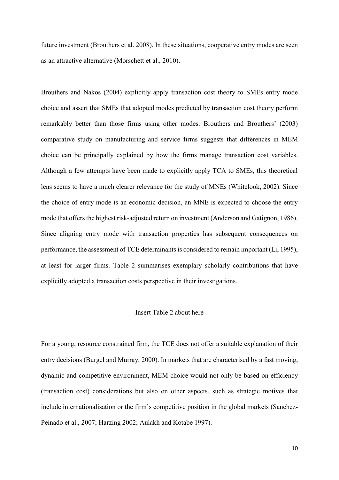future investment (Brouthers et al. 2008). In these situations, cooperative entry modes are seen as an attractive alternative (Morschett et al., 2010).

Brouthers and Nakos (2004) explicitly apply transaction cost theory to SMEs entry mode choice and assert that SMEs that adopted modes predicted by transaction cost theory perform remarkably better than those firms using other modes. Brouthers and Brouthers' (2003) comparative study on manufacturing and service firms suggests that differences in MEM choice can be principally explained by how the firms manage transaction cost variables. Although a few attempts have been made to explicitly apply TCA to SMEs, this theoretical lens seems to have a much clearer relevance for the study of MNEs (Whitelook, 2002). Since the choice of entry mode is an economic decision, an MNE is expected to choose the entry mode that offers the highest risk-adjusted return on investment (Anderson and Gatignon, 1986). Since aligning entry mode with transaction properties has subsequent consequences on performance, the assessment of TCE determinants is considered to remain important (Li, 1995), at least for larger firms. Table 2 summarises exemplary scholarly contributions that have explicitly adopted a transaction costs perspective in their investigations.

#### -Insert Table 2 about here-

For a young, resource constrained firm, the TCE does not offer a suitable explanation of their entry decisions (Burgel and Murray, 2000). In markets that are characterised by a fast moving, dynamic and competitive environment, MEM choice would not only be based on efficiency (transaction cost) considerations but also on other aspects, such as strategic motives that include internationalisation or the firm's competitive position in the global markets (Sanchez-Peinado et al., 2007; Harzing 2002; Aulakh and Kotabe 1997).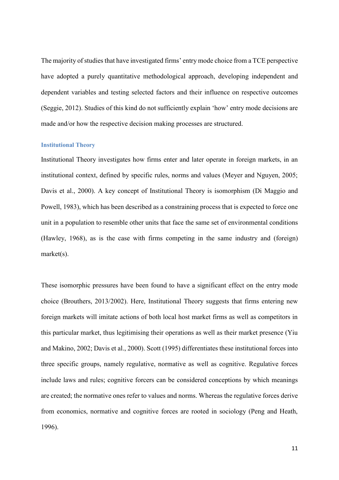The majority of studies that have investigated firms' entry mode choice from a TCE perspective have adopted a purely quantitative methodological approach, developing independent and dependent variables and testing selected factors and their influence on respective outcomes (Seggie, 2012). Studies of this kind do not sufficiently explain 'how' entry mode decisions are made and/or how the respective decision making processes are structured.

### **Institutional Theory**

Institutional Theory investigates how firms enter and later operate in foreign markets, in an institutional context, defined by specific rules, norms and values (Meyer and Nguyen, 2005; Davis et al., 2000). A key concept of Institutional Theory is isomorphism (Di Maggio and Powell, 1983), which has been described as a constraining process that is expected to force one unit in a population to resemble other units that face the same set of environmental conditions (Hawley, 1968), as is the case with firms competing in the same industry and (foreign) market(s).

These isomorphic pressures have been found to have a significant effect on the entry mode choice (Brouthers, 2013/2002). Here, Institutional Theory suggests that firms entering new foreign markets will imitate actions of both local host market firms as well as competitors in this particular market, thus legitimising their operations as well as their market presence (Yiu and Makino, 2002; Davis et al., 2000). Scott (1995) differentiates these institutional forces into three specific groups, namely regulative, normative as well as cognitive. Regulative forces include laws and rules; cognitive forcers can be considered conceptions by which meanings are created; the normative ones refer to values and norms. Whereas the regulative forces derive from economics, normative and cognitive forces are rooted in sociology (Peng and Heath, 1996).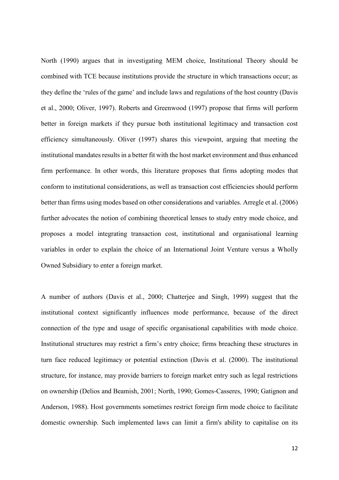North (1990) argues that in investigating MEM choice, Institutional Theory should be combined with TCE because institutions provide the structure in which transactions occur; as they define the 'rules of the game' and include laws and regulations of the host country (Davis et al., 2000; Oliver, 1997). Roberts and Greenwood (1997) propose that firms will perform better in foreign markets if they pursue both institutional legitimacy and transaction cost efficiency simultaneously. Oliver (1997) shares this viewpoint, arguing that meeting the institutional mandates results in a better fit with the host market environment and thus enhanced firm performance. In other words, this literature proposes that firms adopting modes that conform to institutional considerations, as well as transaction cost efficiencies should perform better than firms using modes based on other considerations and variables. Arregle et al. (2006) further advocates the notion of combining theoretical lenses to study entry mode choice, and proposes a model integrating transaction cost, institutional and organisational learning variables in order to explain the choice of an International Joint Venture versus a Wholly Owned Subsidiary to enter a foreign market.

A number of authors (Davis et al., 2000; Chatterjee and Singh, 1999) suggest that the institutional context significantly influences mode performance, because of the direct connection of the type and usage of specific organisational capabilities with mode choice. Institutional structures may restrict a firm's entry choice; firms breaching these structures in turn face reduced legitimacy or potential extinction (Davis et al. (2000). The institutional structure, for instance, may provide barriers to foreign market entry such as legal restrictions on ownership (Delios and Beamish, 2001; North, 1990; Gomes-Casseres, 1990; Gatignon and Anderson, 1988). Host governments sometimes restrict foreign firm mode choice to facilitate domestic ownership. Such implemented laws can limit a firm's ability to capitalise on its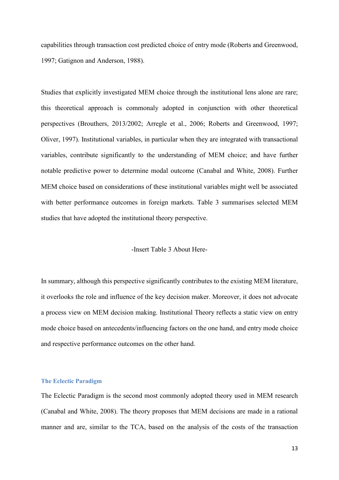capabilities through transaction cost predicted choice of entry mode (Roberts and Greenwood, 1997; Gatignon and Anderson, 1988).

Studies that explicitly investigated MEM choice through the institutional lens alone are rare; this theoretical approach is commonaly adopted in conjunction with other theoretical perspectives (Brouthers, 2013/2002; Arregle et al., 2006; Roberts and Greenwood, 1997; Oliver, 1997). Institutional variables, in particular when they are integrated with transactional variables, contribute significantly to the understanding of MEM choice; and have further notable predictive power to determine modal outcome (Canabal and White, 2008). Further MEM choice based on considerations of these institutional variables might well be associated with better performance outcomes in foreign markets. Table 3 summarises selected MEM studies that have adopted the institutional theory perspective.

### -Insert Table 3 About Here-

In summary, although this perspective significantly contributes to the existing MEM literature, it overlooks the role and influence of the key decision maker. Moreover, it does not advocate a process view on MEM decision making. Institutional Theory reflects a static view on entry mode choice based on antecedents/influencing factors on the one hand, and entry mode choice and respective performance outcomes on the other hand.

## **The Eclectic Paradigm**

The Eclectic Paradigm is the second most commonly adopted theory used in MEM research (Canabal and White, 2008). The theory proposes that MEM decisions are made in a rational manner and are, similar to the TCA, based on the analysis of the costs of the transaction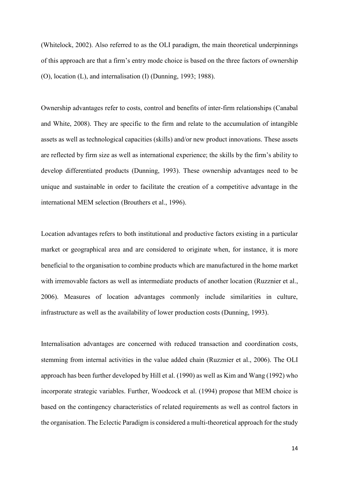(Whitelock, 2002). Also referred to as the OLI paradigm, the main theoretical underpinnings of this approach are that a firm's entry mode choice is based on the three factors of ownership (O), location (L), and internalisation (I) (Dunning, 1993; 1988).

Ownership advantages refer to costs, control and benefits of inter-firm relationships (Canabal and White, 2008). They are specific to the firm and relate to the accumulation of intangible assets as well as technological capacities (skills) and/or new product innovations. These assets are reflected by firm size as well as international experience; the skills by the firm's ability to develop differentiated products (Dunning, 1993). These ownership advantages need to be unique and sustainable in order to facilitate the creation of a competitive advantage in the international MEM selection (Brouthers et al., 1996).

Location advantages refers to both institutional and productive factors existing in a particular market or geographical area and are considered to originate when, for instance, it is more beneficial to the organisation to combine products which are manufactured in the home market with irremovable factors as well as intermediate products of another location (Ruzznier et al., 2006). Measures of location advantages commonly include similarities in culture, infrastructure as well as the availability of lower production costs (Dunning, 1993).

Internalisation advantages are concerned with reduced transaction and coordination costs, stemming from internal activities in the value added chain (Ruzznier et al., 2006). The OLI approach has been further developed by Hill et al. (1990) as well as Kim and Wang (1992) who incorporate strategic variables. Further, Woodcock et al. (1994) propose that MEM choice is based on the contingency characteristics of related requirements as well as control factors in the organisation. The Eclectic Paradigm is considered a multi-theoretical approach for the study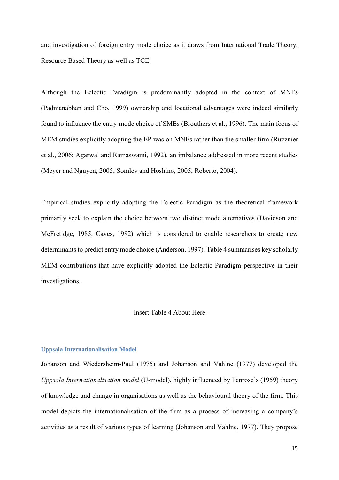and investigation of foreign entry mode choice as it draws from International Trade Theory, Resource Based Theory as well as TCE.

Although the Eclectic Paradigm is predominantly adopted in the context of MNEs (Padmanabhan and Cho, 1999) ownership and locational advantages were indeed similarly found to influence the entry-mode choice of SMEs (Brouthers et al., 1996). The main focus of MEM studies explicitly adopting the EP was on MNEs rather than the smaller firm (Ruzznier et al., 2006; Agarwal and Ramaswami, 1992), an imbalance addressed in more recent studies (Meyer and Nguyen, 2005; Somlev and Hoshino, 2005, Roberto, 2004).

Empirical studies explicitly adopting the Eclectic Paradigm as the theoretical framework primarily seek to explain the choice between two distinct mode alternatives (Davidson and McFretidge, 1985, Caves, 1982) which is considered to enable researchers to create new determinants to predict entry mode choice (Anderson, 1997). Table 4 summarises key scholarly MEM contributions that have explicitly adopted the Eclectic Paradigm perspective in their investigations.

### -Insert Table 4 About Here-

### **Uppsala Internationalisation Model**

Johanson and Wiedersheim-Paul (1975) and Johanson and Vahlne (1977) developed the *Uppsala Internationalisation model* (U-model), highly influenced by Penrose's (1959) theory of knowledge and change in organisations as well as the behavioural theory of the firm. This model depicts the internationalisation of the firm as a process of increasing a company's activities as a result of various types of learning (Johanson and Vahlne, 1977). They propose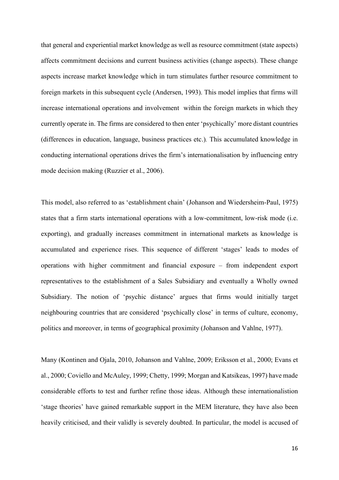that general and experiential market knowledge as well as resource commitment (state aspects) affects commitment decisions and current business activities (change aspects). These change aspects increase market knowledge which in turn stimulates further resource commitment to foreign markets in this subsequent cycle (Andersen, 1993). This model implies that firms will increase international operations and involvement within the foreign markets in which they currently operate in. The firms are considered to then enter 'psychically' more distant countries (differences in education, language, business practices etc.)*.* This accumulated knowledge in conducting international operations drives the firm's internationalisation by influencing entry mode decision making (Ruzzier et al., 2006).

This model, also referred to as 'establishment chain' (Johanson and Wiedersheim-Paul, 1975) states that a firm starts international operations with a low-commitment, low-risk mode (i.e. exporting), and gradually increases commitment in international markets as knowledge is accumulated and experience rises. This sequence of different 'stages' leads to modes of operations with higher commitment and financial exposure – from independent export representatives to the establishment of a Sales Subsidiary and eventually a Wholly owned Subsidiary. The notion of 'psychic distance' argues that firms would initially target neighbouring countries that are considered 'psychically close' in terms of culture, economy, politics and moreover, in terms of geographical proximity (Johanson and Vahlne, 1977).

Many (Kontinen and Ojala, 2010, Johanson and Vahlne, 2009; Eriksson et al., 2000; Evans et al., 2000; Coviello and McAuley, 1999; Chetty, 1999; Morgan and Katsikeas, 1997) have made considerable efforts to test and further refine those ideas. Although these internationalistion 'stage theories' have gained remarkable support in the MEM literature, they have also been heavily criticised, and their validly is severely doubted. In particular, the model is accused of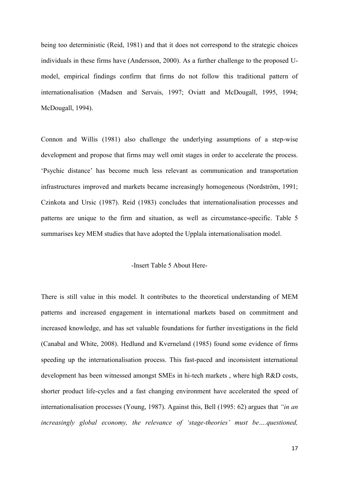being too deterministic (Reid, 1981) and that it does not correspond to the strategic choices individuals in these firms have (Andersson, 2000). As a further challenge to the proposed Umodel, empirical findings confirm that firms do not follow this traditional pattern of internationalisation (Madsen and Servais, 1997; Oviatt and McDougall, 1995, 1994; McDougall, 1994).

Connon and Willis (1981) also challenge the underlying assumptions of a step-wise development and propose that firms may well omit stages in order to accelerate the process. 'Psychic distance' has become much less relevant as communication and transportation infrastructures improved and markets became increasingly homogeneous (Nordström, 1991; Czinkota and Ursic (1987). Reid (1983) concludes that internationalisation processes and patterns are unique to the firm and situation, as well as circumstance-specific. Table 5 summarises key MEM studies that have adopted the Upplala internationalisation model.

# -Insert Table 5 About Here-

There is still value in this model. It contributes to the theoretical understanding of MEM patterns and increased engagement in international markets based on commitment and increased knowledge, and has set valuable foundations for further investigations in the field (Canabal and White, 2008). Hedlund and Kverneland (1985) found some evidence of firms speeding up the internationalisation process. This fast-paced and inconsistent international development has been witnessed amongst SMEs in hi-tech markets , where high R&D costs, shorter product life-cycles and a fast changing environment have accelerated the speed of internationalisation processes (Young, 1987). Against this, Bell (1995: 62) argues that *"in an increasingly global economy, the relevance of 'stage-theories' must be….questioned,*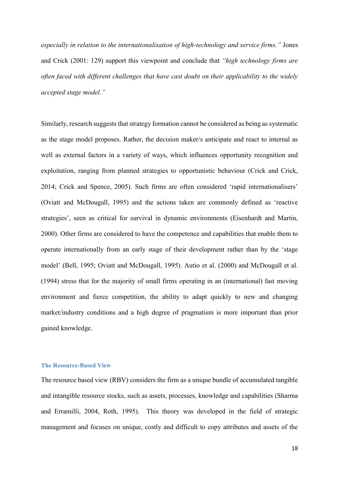*especially in relation to the internationalisation of high-technology and service firms."* Jones and Crick (2001: 129) support this viewpoint and conclude that *"high technology firms are often faced with different challenges that have cast doubt on their applicability to the widely accepted stage model."*

Similarly, research suggests that strategy formation cannot be considered as being as systematic as the stage model proposes. Rather, the decision maker/s anticipate and react to internal as well as external factors in a variety of ways, which influences opportunity recognition and exploitation, ranging from planned strategies to opportunistic behaviour (Crick and Crick, 2014; Crick and Spence, 2005). Such firms are often considered 'rapid internationalisers' (Oviatt and McDougall, 1995) and the actions taken are commonly defined as 'reactive strategies', seen as critical for survival in dynamic environments (Eisenhardt and Martin, 2000). Other firms are considered to have the competence and capabilities that enable them to operate internationally from an early stage of their development rather than by the 'stage model' (Bell, 1995; Oviatt and McDougall, 1995). Autio et al. (2000) and McDougall et al. (1994) stress that for the majority of small firms operating in an (international) fast moving environment and fierce competition, the ability to adapt quickly to new and changing market/industry conditions and a high degree of pragmatism is more important than prior gained knowledge.

## **The Resource-Based View**

The resource based view (RBV) considers the firm as a unique bundle of accumulated tangible and intangible resource stocks, such as assets, processes, knowledge and capabilities (Sharma and Erramilli, 2004, Roth, 1995). This theory was developed in the field of strategic management and focuses on unique, costly and difficult to copy attributes and assets of the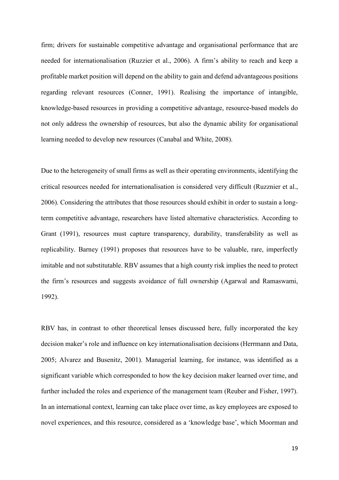firm; drivers for sustainable competitive advantage and organisational performance that are needed for internationalisation (Ruzzier et al., 2006). A firm's ability to reach and keep a profitable market position will depend on the ability to gain and defend advantageous positions regarding relevant resources (Conner, 1991). Realising the importance of intangible, knowledge-based resources in providing a competitive advantage, resource-based models do not only address the ownership of resources, but also the dynamic ability for organisational learning needed to develop new resources (Canabal and White, 2008).

Due to the heterogeneity of small firms as well as their operating environments, identifying the critical resources needed for internationalisation is considered very difficult (Ruzznier et al., 2006). Considering the attributes that those resources should exhibit in order to sustain a longterm competitive advantage, researchers have listed alternative characteristics. According to Grant (1991), resources must capture transparency, durability, transferability as well as replicability. Barney (1991) proposes that resources have to be valuable, rare, imperfectly imitable and not substitutable. RBV assumes that a high county risk implies the need to protect the firm's resources and suggests avoidance of full ownership (Agarwal and Ramaswami, 1992).

RBV has, in contrast to other theoretical lenses discussed here, fully incorporated the key decision maker's role and influence on key internationalisation decisions (Herrmann and Data, 2005; Alvarez and Busenitz, 2001). Managerial learning, for instance, was identified as a significant variable which corresponded to how the key decision maker learned over time, and further included the roles and experience of the management team (Reuber and Fisher, 1997). In an international context, learning can take place over time, as key employees are exposed to novel experiences, and this resource, considered as a 'knowledge base', which Moorman and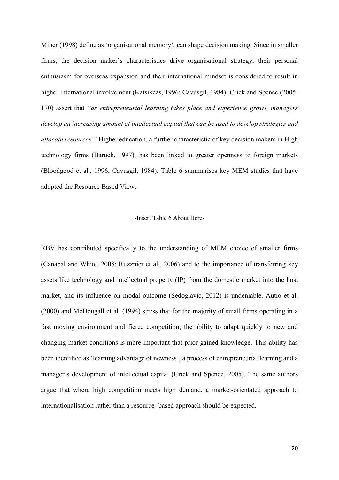Miner (1998) define as 'organisational memory', can shape decision making. Since in smaller firms, the decision maker's characteristics drive organisational strategy, their personal enthusiasm for overseas expansion and their international mindset is considered to result in higher international involvement (Katsikeas, 1996; Cavusgil, 1984). Crick and Spence (2005: 170) assert that *"as entrepreneurial learning takes place and experience grows, managers develop an increasing amount of intellectual capital that can be used to develop strategies and allocate resources."* Higher education, a further characteristic of key decision makers in High technology firms (Baruch, 1997), has been linked to greater openness to foreign markets (Bloodgood et al., 1996; Cavusgil, 1984). Table 6 summarises key MEM studies that have adopted the Resource Based View.

### -Insert Table 6 About Here-

RBV has contributed specifically to the understanding of MEM choice of smaller firms (Canabal and White, 2008: Ruzznier et al., 2006) and to the importance of transferring key assets like technology and intellectual property (IP) from the domestic market into the host market, and its influence on modal outcome (Sedoglavic, 2012) is undeniable. Autio et al. (2000) and McDougall et al. (1994) stress that for the majority of small firms operating in a fast moving environment and fierce competition, the ability to adapt quickly to new and changing market conditions is more important that prior gained knowledge. This ability has been identified as 'learning advantage of newness', a process of entrepreneurial learning and a manager's development of intellectual capital (Crick and Spence, 2005). The same authors argue that where high competition meets high demand, a market-orientated approach to internationalisation rather than a resource- based approach should be expected.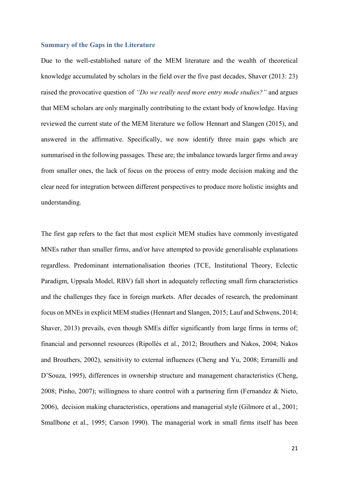#### **Summary of the Gaps in the Literature**

Due to the well-established nature of the MEM literature and the wealth of theoretical knowledge accumulated by scholars in the field over the five past decades, Shaver (2013: 23) raised the provocative question of *"Do we really need more entry mode studies?"* and argues that MEM scholars are only marginally contributing to the extant body of knowledge. Having reviewed the current state of the MEM literature we follow Hennart and Slangen (2015), and answered in the affirmative. Specifically, we now identify three main gaps which are summarised in the following passages. These are; the imbalance towards larger firms and away from smaller ones, the lack of focus on the process of entry mode decision making and the clear need for integration between different perspectives to produce more holistic insights and understanding.

The first gap refers to the fact that most explicit MEM studies have commonly investigated MNEs rather than smaller firms, and/or have attempted to provide generalisable explanations regardless. Predominant internationalisation theories (TCE, Institutional Theory, Eclectic Paradigm, Uppsala Model, RBV) fall short in adequately reflecting small firm characteristics and the challenges they face in foreign markets. After decades of research, the predominant focus on MNEs in explicit MEM studies (Hennart and Slangen, 2015; Lauf and Schwens, 2014; Shaver, 2013) prevails, even though SMEs differ significantly from large firms in terms of; financial and personnel resources (Ripollés et al., 2012; Brouthers and Nakos, 2004; Nakos and Brouthers, 2002), sensitivity to external influences (Cheng and Yu, 2008; Erramilli and D'Souza, 1995), differences in ownership structure and management characteristics (Cheng, 2008; Pinho, 2007); willingness to share control with a partnering firm (Fernandez & Nieto, 2006), decision making characteristics, operations and managerial style (Gilmore et al., 2001; Smallbone et al., 1995; Carson 1990). The managerial work in small firms itself has been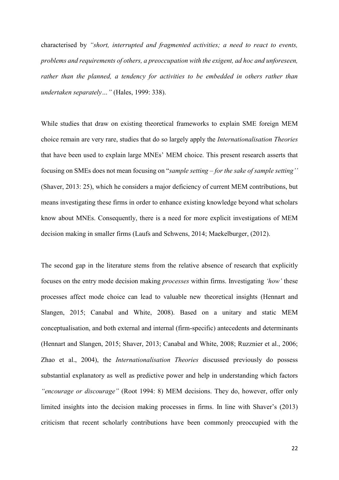characterised by *"short, interrupted and fragmented activities; a need to react to events, problems and requirements of others, a preoccupation with the exigent, ad hoc and unforeseen, rather than the planned, a tendency for activities to be embedded in others rather than undertaken separately…"* (Hales, 1999: 338).

While studies that draw on existing theoretical frameworks to explain SME foreign MEM choice remain are very rare, studies that do so largely apply the *Internationalisation Theories* that have been used to explain large MNEs' MEM choice. This present research asserts that focusing on SMEs does not mean focusing on "*sample setting – for the sake of sample setting''* (Shaver, 2013: 25), which he considers a major deficiency of current MEM contributions, but means investigating these firms in order to enhance existing knowledge beyond what scholars know about MNEs. Consequently, there is a need for more explicit investigations of MEM decision making in smaller firms (Laufs and Schwens, 2014; Maekelburger, (2012).

The second gap in the literature stems from the relative absence of research that explicitly focuses on the entry mode decision making *processes* within firms. Investigating *'how'* these processes affect mode choice can lead to valuable new theoretical insights (Hennart and Slangen, 2015; Canabal and White, 2008). Based on a unitary and static MEM conceptualisation, and both external and internal (firm-specific) antecedents and determinants (Hennart and Slangen, 2015; Shaver, 2013; Canabal and White, 2008; Ruzznier et al., 2006; Zhao et al., 2004), the *Internationalisation Theories* discussed previously do possess substantial explanatory as well as predictive power and help in understanding which factors *"encourage or discourage"* (Root 1994: 8) MEM decisions. They do, however, offer only limited insights into the decision making processes in firms. In line with Shaver's (2013) criticism that recent scholarly contributions have been commonly preoccupied with the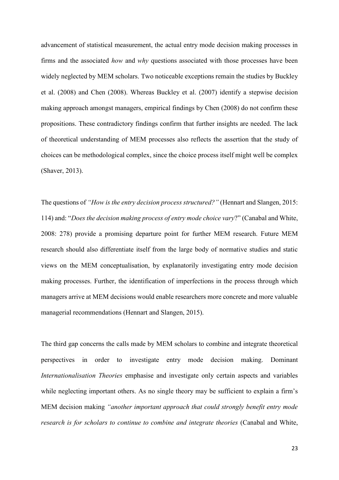advancement of statistical measurement, the actual entry mode decision making processes in firms and the associated *how* and *why* questions associated with those processes have been widely neglected by MEM scholars. Two noticeable exceptions remain the studies by Buckley et al. (2008) and Chen (2008). Whereas Buckley et al. (2007) identify a stepwise decision making approach amongst managers, empirical findings by Chen (2008) do not confirm these propositions. These contradictory findings confirm that further insights are needed. The lack of theoretical understanding of MEM processes also reflects the assertion that the study of choices can be methodological complex, since the choice process itself might well be complex (Shaver, 2013).

The questions of *"How is the entry decision process structured?"* (Hennart and Slangen, 2015: 114) and: "*Does the decision making process of entry mode choice vary*?" (Canabal and White, 2008: 278) provide a promising departure point for further MEM research. Future MEM research should also differentiate itself from the large body of normative studies and static views on the MEM conceptualisation, by explanatorily investigating entry mode decision making processes. Further, the identification of imperfections in the process through which managers arrive at MEM decisions would enable researchers more concrete and more valuable managerial recommendations (Hennart and Slangen, 2015).

The third gap concerns the calls made by MEM scholars to combine and integrate theoretical perspectives in order to investigate entry mode decision making. Dominant *Internationalisation Theories* emphasise and investigate only certain aspects and variables while neglecting important others. As no single theory may be sufficient to explain a firm's MEM decision making *"another important approach that could strongly benefit entry mode research is for scholars to continue to combine and integrate theories* (Canabal and White,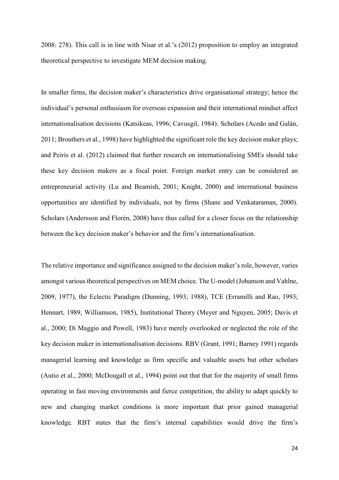2008: 278). This call is in line with Nisar et al.'s (2012) proposition to employ an integrated theoretical perspective to investigate MEM decision making.

In smaller firms, the decision maker's characteristics drive organisational strategy; hence the individual's personal enthusiasm for overseas expansion and their international mindset affect internationalisation decisions (Katsikeas, 1996; Cavusgil, 1984). Scholars (Acedo and Galán, 2011; Brouthers et al., 1998) have highlighted the significant role the key decision maker plays; and Peiris et al. (2012) claimed that further research on internationalising SMEs should take these key decision makers as a focal point. Foreign market entry can be considered an entrepreneurial activity (Lu and Beamish, 2001; Knight, 2000) and international business opportunities are identified by individuals, not by firms (Shane and Venkataraman, 2000). Scholars (Andersson and Florén, 2008) have thus called for a closer focus on the relationship between the key decision maker's behavior and the firm's internationalisation.

The relative importance and significance assigned to the decision maker's role, however, varies amongst various theoretical perspectives on MEM choice. The U-model (Johanson and Vahlne, 2009, 1977), the Eclectic Paradigm (Dunning, 1993; 1988), TCE (Erramilli and Rao, 1993; Hennart, 1989, Williamson, 1985), Institutional Theory (Meyer and Nguyen, 2005; Davis et al., 2000; Di Maggio and Powell, 1983) have merely overlooked or neglected the role of the key decision maker in internationalisation decisions. RBV (Grant, 1991; Barney 1991) regards managerial learning and knowledge as firm specific and valuable assets but other scholars (Autio et al., 2000; McDougall et al., 1994) point out that that for the majority of small firms operating in fast moving environments and fierce competition, the ability to adapt quickly to new and changing market conditions is more important that prior gained managerial knowledge. RBT states that the firm's internal capabilities would drive the firm's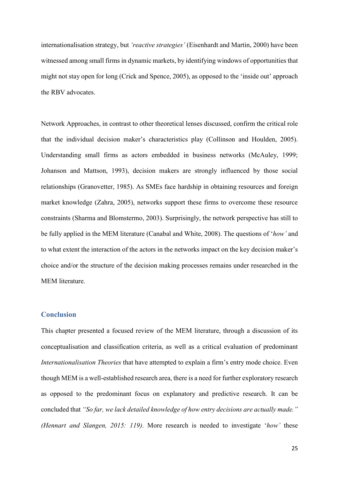internationalisation strategy, but *'reactive strategies'* (Eisenhardt and Martin, 2000) have been witnessed among small firms in dynamic markets, by identifying windows of opportunities that might not stay open for long (Crick and Spence, 2005), as opposed to the 'inside out' approach the RBV advocates.

Network Approaches, in contrast to other theoretical lenses discussed, confirm the critical role that the individual decision maker's characteristics play (Collinson and Houlden, 2005). Understanding small firms as actors embedded in business networks (McAuley, 1999; Johanson and Mattson, 1993), decision makers are strongly influenced by those social relationships (Granovetter, 1985). As SMEs face hardship in obtaining resources and foreign market knowledge (Zahra, 2005), networks support these firms to overcome these resource constraints (Sharma and Blomstermo, 2003). Surprisingly, the network perspective has still to be fully applied in the MEM literature (Canabal and White, 2008). The questions of '*how'* and to what extent the interaction of the actors in the networks impact on the key decision maker's choice and/or the structure of the decision making processes remains under researched in the MEM literature.

### **Conclusion**

This chapter presented a focused review of the MEM literature, through a discussion of its conceptualisation and classification criteria, as well as a critical evaluation of predominant *Internationalisation Theories* that have attempted to explain a firm's entry mode choice. Even though MEM is a well-established research area, there is a need for further exploratory research as opposed to the predominant focus on explanatory and predictive research. It can be concluded that *"So far, we lack detailed knowledge of how entry decisions are actually made." (Hennart and Slangen, 2015: 119)*. More research is needed to investigate '*how'* these